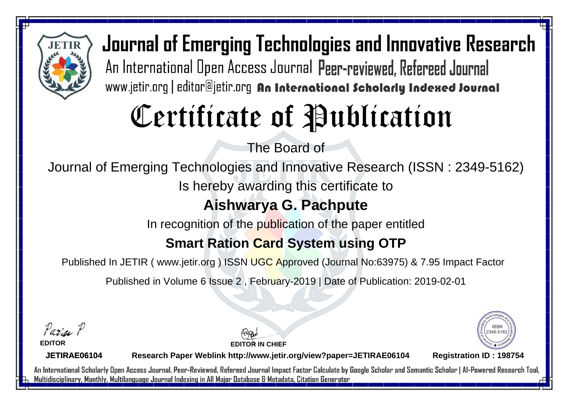

# Certificate of Publication

The Board of

Journal of Emerging Technologies and Innovative Research (ISSN : 2349-5162)

Is hereby awarding this certificate to

### **Aishwarya G. Pachpute**

In recognition of the publication of the paper entitled

### **Smart Ration Card System using OTP**

Published In JETIR ( www.jetir.org ) ISSN UGC Approved (Journal No: 63975) & 7.95 Impact Factor

Published in Volume 6 Issue 2 , February-2019 | Date of Publication: 2019-02-01

Parin P **EDITOR**

**JETIRAE06104**

**EDITOR IN CHIEF Research Paper Weblink http://www.jetir.org/view?paper=JETIRAE06104 Registration ID : 198754**

2349-516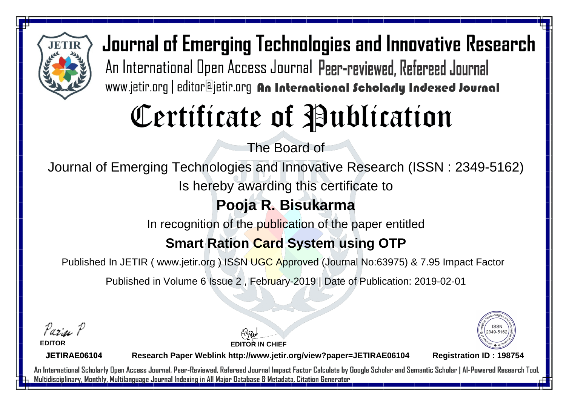

# Certificate of Publication

The Board of

Journal of Emerging Technologies and Innovative Research (ISSN : 2349-5162)

Is hereby awarding this certificate to

### **Pooja R. Bisukarma**

In recognition of the publication of the paper entitled

#### **Smart Ration Card System using OTP**

Published In JETIR ( www.jetir.org ) ISSN UGC Approved (Journal No: 63975) & 7.95 Impact Factor

Published in Volume 6 Issue 2 , February-2019 | Date of Publication: 2019-02-01

Parin P

**EDITOR**

**EDITOR IN CHIEF**



**JETIRAE06104**

**Research Paper Weblink http://www.jetir.org/view?paper=JETIRAE06104 Registration ID : 198754**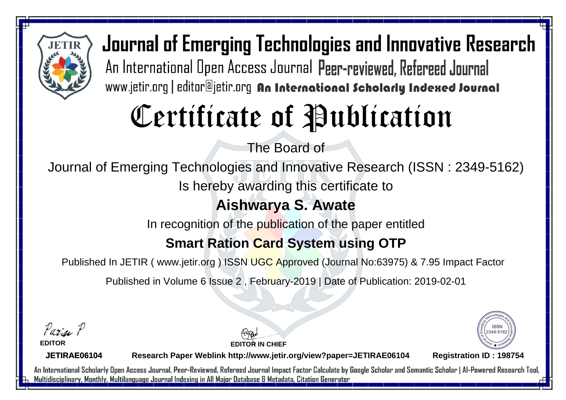

# Certificate of Publication

The Board of

Journal of Emerging Technologies and Innovative Research (ISSN : 2349-5162)

Is hereby awarding this certificate to

### **Aishwarya S. Awate**

In recognition of the publication of the paper entitled

### **Smart Ration Card System using OTP**

Published In JETIR ( www.jetir.org ) ISSN UGC Approved (Journal No: 63975) & 7.95 Impact Factor

Published in Volume 6 Issue 2 , February-2019 | Date of Publication: 2019-02-01

Parin P **EDITOR**

**JETIRAE06104**

**EDITOR IN CHIEF Research Paper Weblink http://www.jetir.org/view?paper=JETIRAE06104 Registration ID : 198754**

2349-516